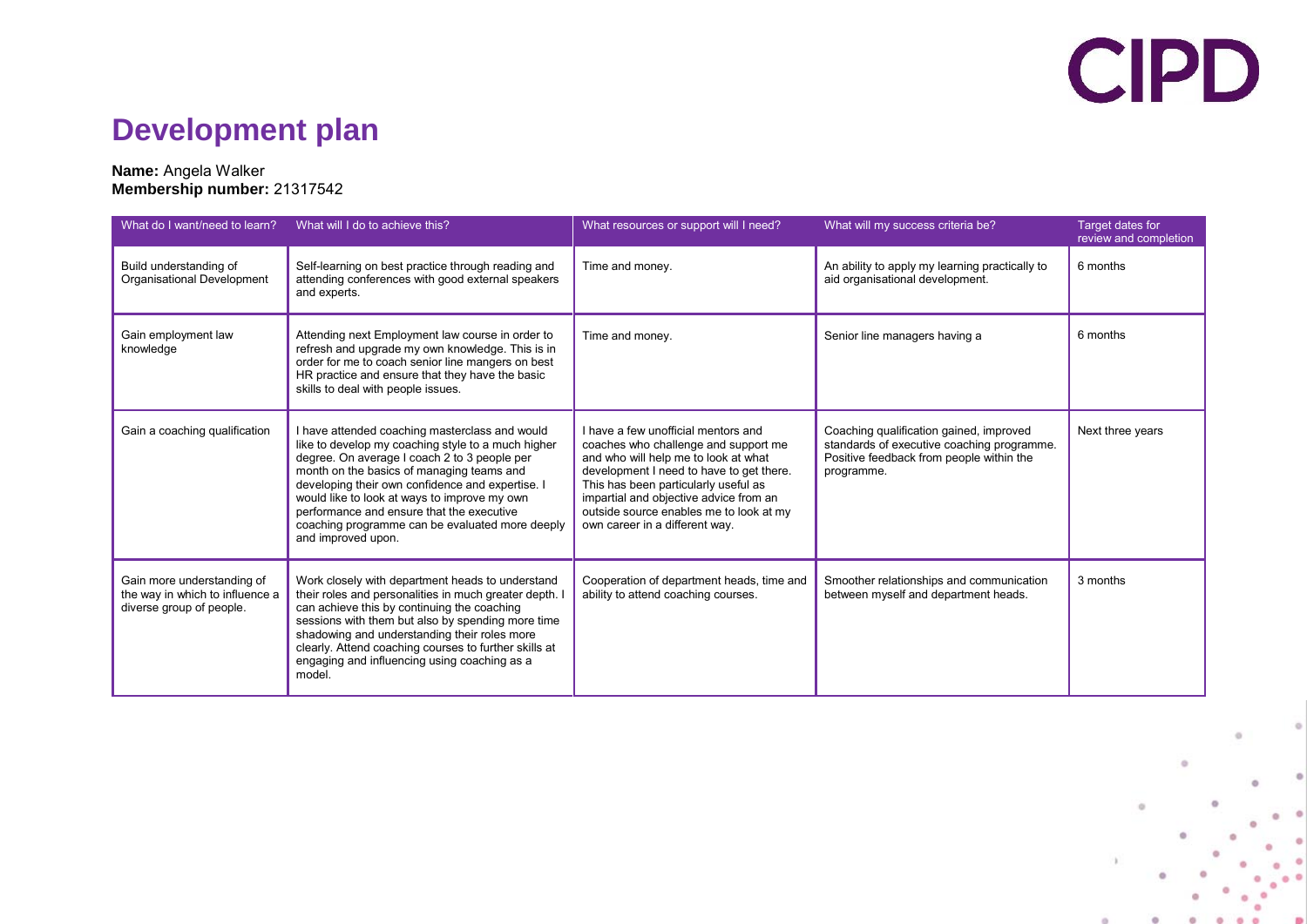## **CIPD**

### **Development plan**

#### **Name:** Angela Walker **Membership number:** 21317542

| What do I want/need to learn?                                                             | What will I do to achieve this?                                                                                                                                                                                                                                                                                                                                                                                             | What resources or support will I need?                                                                                                                                                                                                                                                                                         | What will my success criteria be?                                                                                                               | <b>Target dates for</b><br>review and completion |
|-------------------------------------------------------------------------------------------|-----------------------------------------------------------------------------------------------------------------------------------------------------------------------------------------------------------------------------------------------------------------------------------------------------------------------------------------------------------------------------------------------------------------------------|--------------------------------------------------------------------------------------------------------------------------------------------------------------------------------------------------------------------------------------------------------------------------------------------------------------------------------|-------------------------------------------------------------------------------------------------------------------------------------------------|--------------------------------------------------|
| Build understanding of<br>Organisational Development                                      | Self-learning on best practice through reading and<br>attending conferences with good external speakers<br>and experts.                                                                                                                                                                                                                                                                                                     | Time and money.                                                                                                                                                                                                                                                                                                                | An ability to apply my learning practically to<br>aid organisational development.                                                               | 6 months                                         |
| Gain employment law<br>knowledge                                                          | Attending next Employment law course in order to<br>refresh and upgrade my own knowledge. This is in<br>order for me to coach senior line mangers on best<br>HR practice and ensure that they have the basic<br>skills to deal with people issues.                                                                                                                                                                          | Time and money.                                                                                                                                                                                                                                                                                                                | Senior line managers having a                                                                                                                   | 6 months                                         |
| Gain a coaching qualification                                                             | I have attended coaching masterclass and would<br>like to develop my coaching style to a much higher<br>degree. On average I coach 2 to 3 people per<br>month on the basics of managing teams and<br>developing their own confidence and expertise. I<br>would like to look at ways to improve my own<br>performance and ensure that the executive<br>coaching programme can be evaluated more deeply<br>and improved upon. | I have a few unofficial mentors and<br>coaches who challenge and support me<br>and who will help me to look at what<br>development I need to have to get there.<br>This has been particularly useful as<br>impartial and objective advice from an<br>outside source enables me to look at my<br>own career in a different way. | Coaching qualification gained, improved<br>standards of executive coaching programme.<br>Positive feedback from people within the<br>programme. | Next three years                                 |
| Gain more understanding of<br>the way in which to influence a<br>diverse group of people. | Work closely with department heads to understand<br>their roles and personalities in much greater depth.<br>can achieve this by continuing the coaching<br>sessions with them but also by spending more time<br>shadowing and understanding their roles more<br>clearly. Attend coaching courses to further skills at<br>engaging and influencing using coaching as a<br>model.                                             | Cooperation of department heads, time and<br>ability to attend coaching courses.                                                                                                                                                                                                                                               | Smoother relationships and communication<br>between myself and department heads.                                                                | 3 months                                         |